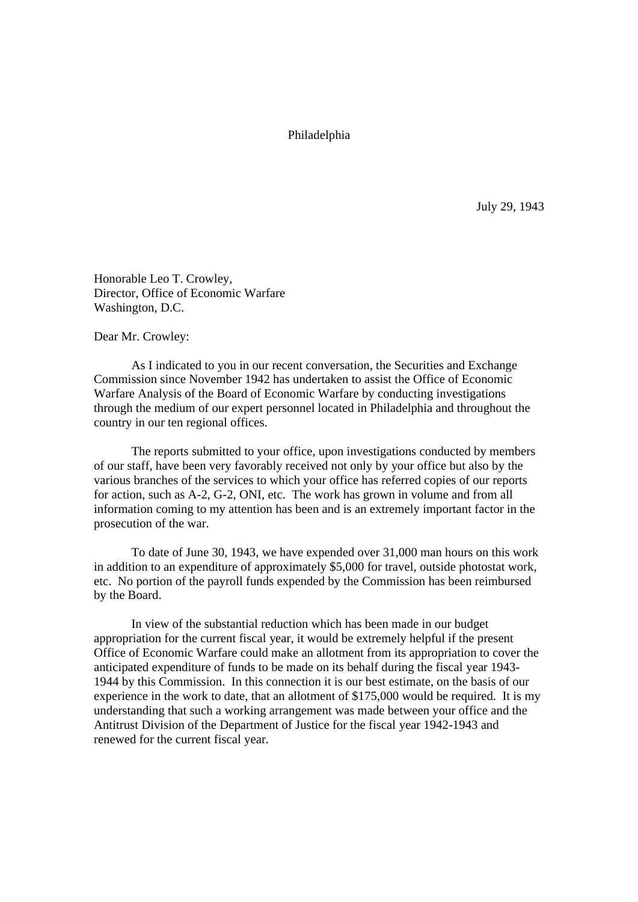Philadelphia

July 29, 1943

Honorable Leo T. Crowley, Director, Office of Economic Warfare Washington, D.C.

Dear Mr. Crowley:

As I indicated to you in our recent conversation, the Securities and Exchange Commission since November 1942 has undertaken to assist the Office of Economic Warfare Analysis of the Board of Economic Warfare by conducting investigations through the medium of our expert personnel located in Philadelphia and throughout the country in our ten regional offices.

The reports submitted to your office, upon investigations conducted by members of our staff, have been very favorably received not only by your office but also by the various branches of the services to which your office has referred copies of our reports for action, such as A-2, G-2, ONI, etc. The work has grown in volume and from all information coming to my attention has been and is an extremely important factor in the prosecution of the war.

To date of June 30, 1943, we have expended over 31,000 man hours on this work in addition to an expenditure of approximately \$5,000 for travel, outside photostat work, etc. No portion of the payroll funds expended by the Commission has been reimbursed by the Board.

In view of the substantial reduction which has been made in our budget appropriation for the current fiscal year, it would be extremely helpful if the present Office of Economic Warfare could make an allotment from its appropriation to cover the anticipated expenditure of funds to be made on its behalf during the fiscal year 1943- 1944 by this Commission. In this connection it is our best estimate, on the basis of our experience in the work to date, that an allotment of \$175,000 would be required. It is my understanding that such a working arrangement was made between your office and the Antitrust Division of the Department of Justice for the fiscal year 1942-1943 and renewed for the current fiscal year.